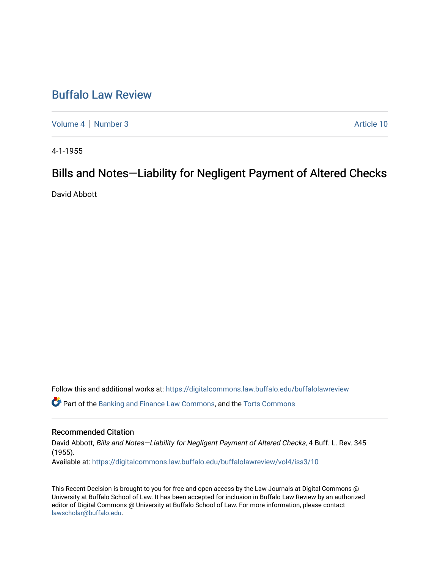# [Buffalo Law Review](https://digitalcommons.law.buffalo.edu/buffalolawreview)

[Volume 4](https://digitalcommons.law.buffalo.edu/buffalolawreview/vol4) | [Number 3](https://digitalcommons.law.buffalo.edu/buffalolawreview/vol4/iss3) Article 10

4-1-1955

# Bills and Notes—Liability for Negligent Payment of Altered Checks

David Abbott

Follow this and additional works at: [https://digitalcommons.law.buffalo.edu/buffalolawreview](https://digitalcommons.law.buffalo.edu/buffalolawreview?utm_source=digitalcommons.law.buffalo.edu%2Fbuffalolawreview%2Fvol4%2Fiss3%2F10&utm_medium=PDF&utm_campaign=PDFCoverPages) 

Part of the [Banking and Finance Law Commons,](http://network.bepress.com/hgg/discipline/833?utm_source=digitalcommons.law.buffalo.edu%2Fbuffalolawreview%2Fvol4%2Fiss3%2F10&utm_medium=PDF&utm_campaign=PDFCoverPages) and the [Torts Commons](http://network.bepress.com/hgg/discipline/913?utm_source=digitalcommons.law.buffalo.edu%2Fbuffalolawreview%2Fvol4%2Fiss3%2F10&utm_medium=PDF&utm_campaign=PDFCoverPages) 

## Recommended Citation

David Abbott, Bills and Notes—Liability for Negligent Payment of Altered Checks, 4 Buff. L. Rev. 345 (1955). Available at: [https://digitalcommons.law.buffalo.edu/buffalolawreview/vol4/iss3/10](https://digitalcommons.law.buffalo.edu/buffalolawreview/vol4/iss3/10?utm_source=digitalcommons.law.buffalo.edu%2Fbuffalolawreview%2Fvol4%2Fiss3%2F10&utm_medium=PDF&utm_campaign=PDFCoverPages) 

This Recent Decision is brought to you for free and open access by the Law Journals at Digital Commons @ University at Buffalo School of Law. It has been accepted for inclusion in Buffalo Law Review by an authorized editor of Digital Commons @ University at Buffalo School of Law. For more information, please contact [lawscholar@buffalo.edu](mailto:lawscholar@buffalo.edu).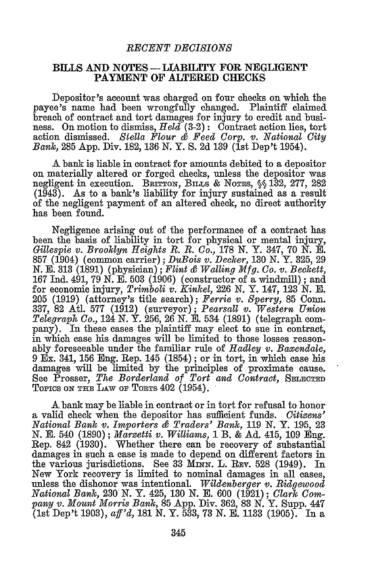#### *RECENT DECISIONS*

### **BILLS** AND NOTES-LIABILITY FOR **NEGLIGENT** PAYMENT OF ALTERED **CHECKS**

Depositor's account was charged on four checks on which the payee's name had been wrongfully changed. Plaintiff claimed breach of contract and tort damages for injury to credit and business. On motion to dismiss, *Held* (3-2): Contract action lies, tort action dismissed. *Stella Flour & Feed Corp. v. National City Bank,* 285 App. Div. 182, 136 N. Y. **S.** 2d 139 (1st Dep't 1954).

**A** bank is liable in contract for amounts debited to a depositor on materially altered or forged checks, unless the depositor was negligent in execution. BRITTON, BILS **& NoTEs, §§ 132, 277,** 282 (1943). As to a bank's liability for injury sustained as a result of the negligent payment of an altered check, no direct authority has been found.

Negligence arising out of the performance of a contract has been the basis of liability in tort for physical or mental injury, *Gillespie v. Brooklyn Heights R. B. Co.,* **178** N. Y. 347, 70 N. E. 857 (1904) (common carrier); *DuBois v. Decker,* **130** N. Y. 325, 29 N. E. **313** (1891) (physician); *Flint & Walling Mfg. Co. v. Beckett,* **167** Ind. 491, 79 N. **E.** 503 (1906) (constructor of a windmill); and for economic injury, *Trimboli v. Kinkel,* 226 N. Y. 147, **123 N.** E. 205 (1919) (attorney's title search); *Ferrie v. Sperry,* 85 Conn. 337, 82 Atl. 577 (1912) (surveyor); *Pearsall v. Western Union Telegraph Co.,* 124 N. Y. 256, 26 N. E. 534 (1891) (telegraph company). In these cases the plaintiff may elect to sue in contract, in which case his damages will be limited to those losses reasonably foreseeable under the familiar rule of *Hadley v. Baxendale,* 9 Ex. 341, **156 Eng.** Rep. 145 (1854) ; or in tort, in which case his damages will be limited **by** the principles of proximate cause. See Prosser, *The Borderland of Tort and Contract,* **SELEcTED** TOPICS ON THE LAW OF TORTS 402 (1954).

**A** bank may be liable in contract or in tort for refusal to honor a valid check when the depositor has sufficient funds. *Citizens' National Bank v. Importers & Traders' Bank,* **119** N. Y. 195, **23** N. E. 540 (1890); *Marzetti v. Williams,* 1 B. & Ad. 415, 109 Eng. Rep. 842 (1930). Whether there can be recovery of substantial damages in such a case is made to depend on different factors in the various jurisdictions. See 33 MINN. L. REV. 528 (1949). In New York recovery is limited to nominal damages in all cases, unless the dishonor was intentional. *Wildenberger v. Ridgewood National Bank,* 230 N. Y. 425, 130 N. E. 600 (1921) ; *Clark Company v. Mount Morris Bank,* 85 App. Div. 362, 83 N. Y. Supp. 447 (1st Dep't 1903), *aff'd,* **181** N. Y. 533, **73 N. E.** 1133 (1905). In a